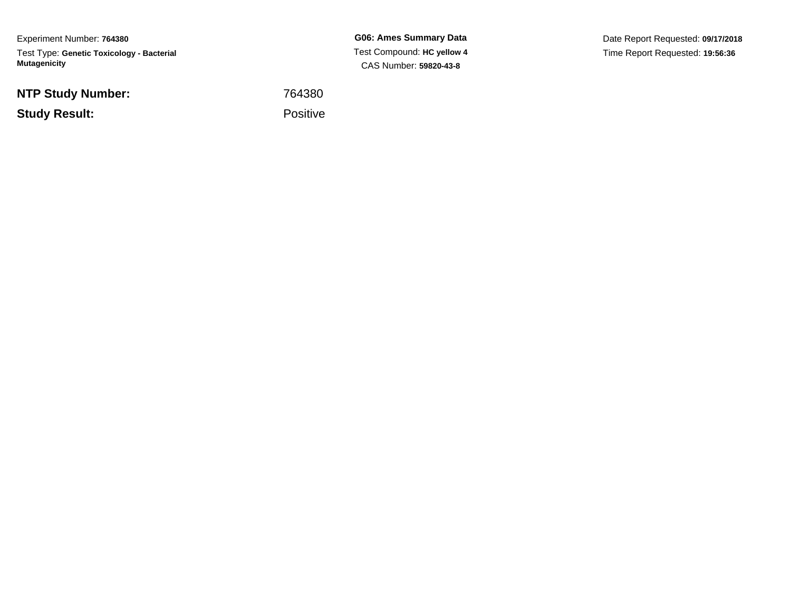Experiment Number: **764380**Test Type: **Genetic Toxicology - Bacterial Mutagenicity**

**NTP Study Number:**

**Study Result:**

**G06: Ames Summary Data** Test Compound: **HC yellow 4**CAS Number: **59820-43-8**

Date Report Requested: **09/17/2018**Time Report Requested: **19:56:36**

 <sup>764380</sup>Positive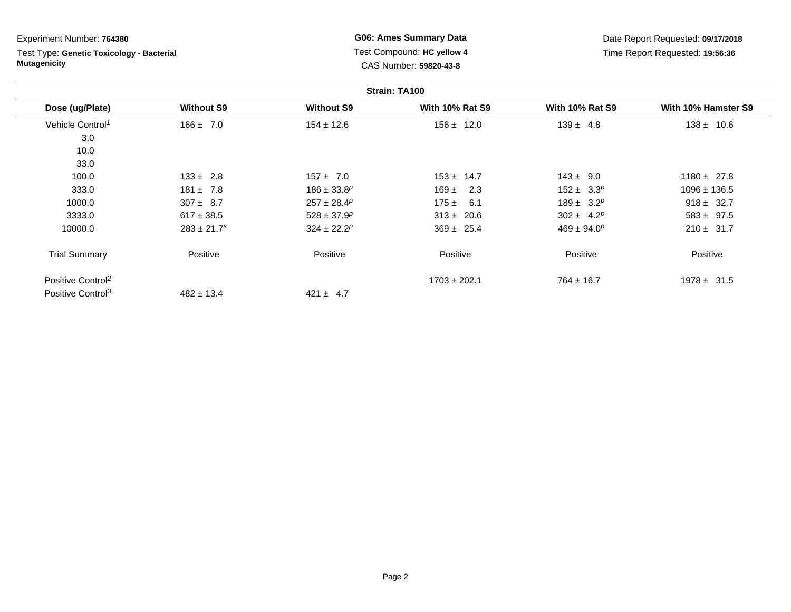Test Type: **Genetic Toxicology - Bacterial Mutagenicity**

**G06: Ames Summary Data** Test Compound: **HC yellow 4**CAS Number: **59820-43-8**

|                               |                             |                   | Strain: TA100          |                        |                     |
|-------------------------------|-----------------------------|-------------------|------------------------|------------------------|---------------------|
| Dose (ug/Plate)               | <b>Without S9</b>           | <b>Without S9</b> | <b>With 10% Rat S9</b> | <b>With 10% Rat S9</b> | With 10% Hamster S9 |
| Vehicle Control <sup>1</sup>  | $166 \pm 7.0$               | $154 \pm 12.6$    | $156 \pm 12.0$         | $139 \pm 4.8$          | $138 \pm 10.6$      |
| 3.0                           |                             |                   |                        |                        |                     |
| 10.0                          |                             |                   |                        |                        |                     |
| 33.0                          |                             |                   |                        |                        |                     |
| 100.0                         | $133 \pm 2.8$               | $157 \pm 7.0$     | $153 \pm 14.7$         | $143 \pm 9.0$          | $1180 \pm 27.8$     |
| 333.0                         | $181 \pm 7.8$               | $186 \pm 33.8^p$  | $169 \pm$<br>2.3       | $152 \pm 3.3^p$        | $1096 \pm 136.5$    |
| 1000.0                        | $307 \pm 8.7$               | $257 \pm 28.4^p$  | $175 \pm 6.1$          | $189 \pm 3.2^p$        | $918 \pm 32.7$      |
| 3333.0                        | $617 \pm 38.5$              | $528 \pm 37.9^p$  | $313 \pm 20.6$         | $302 \pm 4.2^p$        | $583 \pm 97.5$      |
| 10000.0                       | $283 \pm 21.7$ <sup>s</sup> | $324 \pm 22.2^p$  | $369 \pm 25.4$         | $469 \pm 94.0^p$       | $210 \pm 31.7$      |
| <b>Trial Summary</b>          | Positive                    | Positive          | Positive               | Positive               | Positive            |
| Positive Control <sup>2</sup> |                             |                   | $1703 \pm 202.1$       | $764 \pm 16.7$         | $1978 \pm 31.5$     |
| Positive Control <sup>3</sup> | $482 \pm 13.4$              | $421 \pm 4.7$     |                        |                        |                     |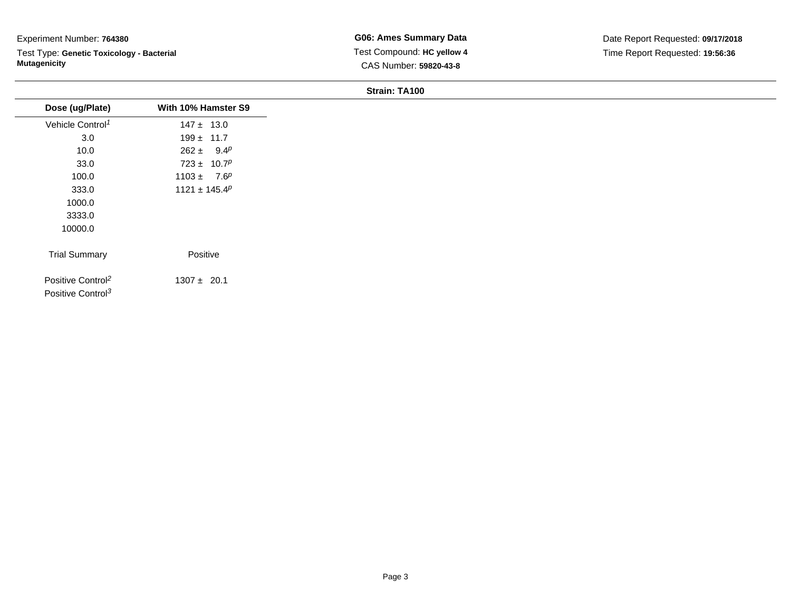Test Type: **Genetic Toxicology - Bacterial Mutagenicity**

**G06: Ames Summary Data** Test Compound: **HC yellow 4**CAS Number: **59820-43-8**

| Dose (ug/Plate)               | With 10% Hamster S9 |
|-------------------------------|---------------------|
| Vehicle Control <sup>1</sup>  | $147 \pm 13.0$      |
| 3.0                           | $199 \pm 11.7$      |
| 10.0                          | $262 \pm 9.4^p$     |
| 33.0                          | $723 \pm 10.7^p$    |
| 100.0                         | $1103 \pm 7.6^p$    |
| 333.0                         | $1121 \pm 145.4^p$  |
| 1000.0                        |                     |
| 3333.0                        |                     |
| 10000.0                       |                     |
| <b>Trial Summary</b>          | Positive            |
| Positive Control <sup>2</sup> | $1307 \pm 20.1$     |
| Positive Control <sup>3</sup> |                     |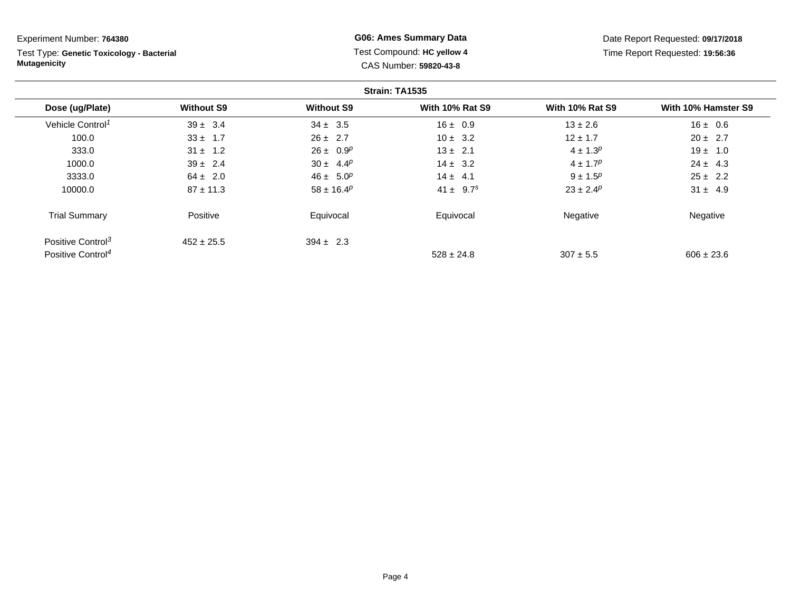Test Type: **Genetic Toxicology - Bacterial Mutagenicity**

**G06: Ames Summary Data** Test Compound: **HC yellow 4**CAS Number: **59820-43-8**

| Strain: TA1535                |                   |                            |                        |                        |                     |
|-------------------------------|-------------------|----------------------------|------------------------|------------------------|---------------------|
| Dose (ug/Plate)               | <b>Without S9</b> | <b>Without S9</b>          | <b>With 10% Rat S9</b> | <b>With 10% Rat S9</b> | With 10% Hamster S9 |
| Vehicle Control <sup>1</sup>  | $39 \pm 3.4$      | $34 \pm 3.5$               | $16 \pm 0.9$           | $13 \pm 2.6$           | $16 \pm 0.6$        |
| 100.0                         | $33 \pm 1.7$      | $26 \pm 2.7$               | $10 \pm 3.2$           | $12 \pm 1.7$           | $20 \pm 2.7$        |
| 333.0                         | $31 \pm 1.2$      | $26 \pm 0.9^p$             | $13 \pm 2.1$           | $4 \pm 1.3^{p}$        | $19 \pm 1.0$        |
| 1000.0                        | $39 \pm 2.4$      | $30 \pm 4.4^p$             | $14 \pm 3.2$           | $4 \pm 1.7^p$          | $24 \pm 4.3$        |
| 3333.0                        | $64 \pm 2.0$      | $46 \pm 5.0^p$             | $14 \pm 4.1$           | $9 \pm 1.5^{p}$        | $25 \pm 2.2$        |
| 10000.0                       | $87 \pm 11.3$     | $58 \pm 16.4$ <sup>p</sup> | $41 \pm 9.7^s$         | $23 \pm 2.4^p$         | $31 \pm 4.9$        |
| <b>Trial Summary</b>          | Positive          | Equivocal                  | Equivocal              | Negative               | Negative            |
| Positive Control <sup>3</sup> | $452 \pm 25.5$    | $394 \pm 2.3$              |                        |                        |                     |
| Positive Control <sup>4</sup> |                   |                            | $528 \pm 24.8$         | $307 + 5.5$            | $606 \pm 23.6$      |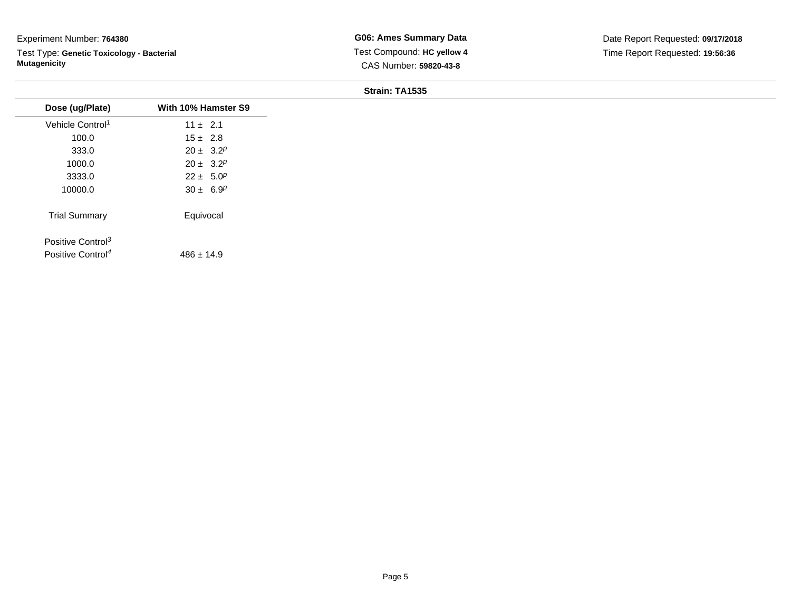Test Type: **Genetic Toxicology - Bacterial Mutagenicity**

**G06: Ames Summary Data** Test Compound: **HC yellow 4**CAS Number: **59820-43-8**

| With 10% Hamster S9 |
|---------------------|
| $11 \pm 2.1$        |
| $15 \pm 2.8$        |
| $20 \pm 3.2^p$      |
| $20 \pm 3.2^p$      |
| $22 \pm 5.0^p$      |
| $30 \pm 6.9^p$      |
| Equivocal           |
|                     |
| $486 \pm 14.9$      |
|                     |
|                     |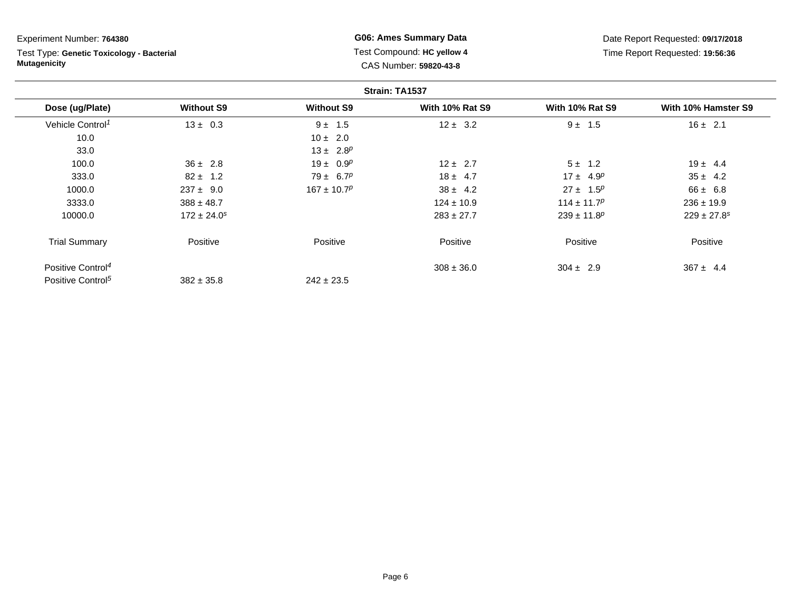Test Type: **Genetic Toxicology - Bacterial Mutagenicity**

**G06: Ames Summary Data** Test Compound: **HC yellow 4**CAS Number: **59820-43-8**

|                               |                             |                   | Strain: TA1537         |                             |                             |
|-------------------------------|-----------------------------|-------------------|------------------------|-----------------------------|-----------------------------|
| Dose (ug/Plate)               | <b>Without S9</b>           | <b>Without S9</b> | <b>With 10% Rat S9</b> | <b>With 10% Rat S9</b>      | With 10% Hamster S9         |
| Vehicle Control <sup>1</sup>  | $13 \pm 0.3$                | $9 \pm 1.5$       | $12 \pm 3.2$           | $9 \pm 1.5$                 | $16 \pm 2.1$                |
| 10.0                          |                             | $10 \pm 2.0$      |                        |                             |                             |
| 33.0                          |                             | $13 \pm 2.8^p$    |                        |                             |                             |
| 100.0                         | $36 \pm 2.8$                | $19 \pm 0.9^p$    | $12 \pm 2.7$           | $5 \pm 1.2$                 | $19 \pm 4.4$                |
| 333.0                         | $82 \pm 1.2$                | $79 \pm 6.7^p$    | $18 \pm 4.7$           | $17 \pm 4.9^p$              | $35 \pm 4.2$                |
| 1000.0                        | $237 \pm 9.0$               | $167 \pm 10.7^p$  | $38 \pm 4.2$           | $27 \pm 1.5^p$              | $66 \pm 6.8$                |
| 3333.0                        | $388 \pm 48.7$              |                   | $124 \pm 10.9$         | $114 \pm 11.7^p$            | $236 \pm 19.9$              |
| 10000.0                       | $172 \pm 24.0$ <sup>s</sup> |                   | $283 \pm 27.7$         | $239 \pm 11.8$ <sup>p</sup> | $229 \pm 27.8$ <sup>s</sup> |
| <b>Trial Summary</b>          | Positive                    | Positive          | Positive               | Positive                    | Positive                    |
| Positive Control <sup>4</sup> |                             |                   | $308 \pm 36.0$         | $304 \pm 2.9$               | $367 \pm 4.4$               |
| Positive Control <sup>5</sup> | $382 \pm 35.8$              | $242 \pm 23.5$    |                        |                             |                             |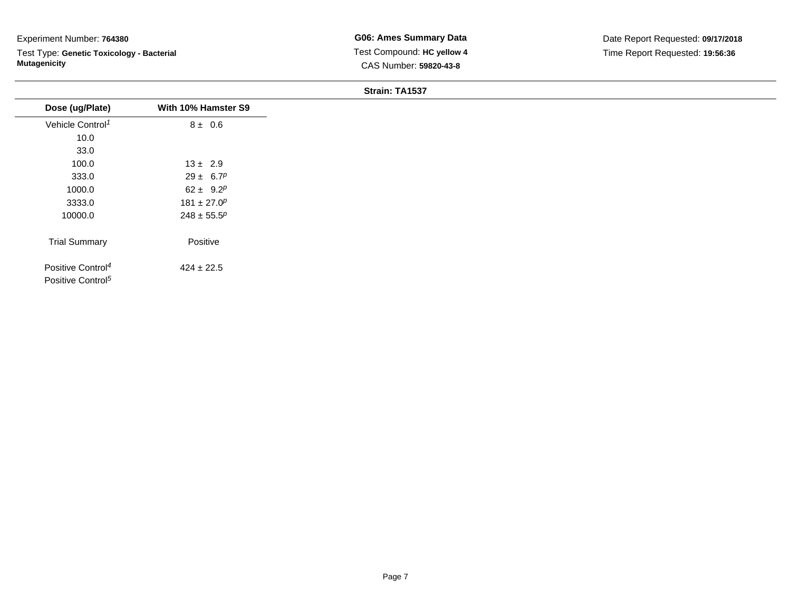Test Type: **Genetic Toxicology - Bacterial Mutagenicity**

| Dose (ug/Plate)                                                | With 10% Hamster S9          |
|----------------------------------------------------------------|------------------------------|
| Vehicle Control <sup>1</sup>                                   | $8 \pm 0.6$                  |
| 10.0                                                           |                              |
| 33.0                                                           |                              |
| 100.0                                                          | $13 \pm 2.9$                 |
| 333.0                                                          | $29 \pm 6.7^p$               |
| 1000.0                                                         | 62 ± 9.2 <sup><i>p</i></sup> |
| 3333.0                                                         | $181 \pm 27.0^p$             |
| 10000.0                                                        | $248 \pm 55.5^p$             |
| <b>Trial Summary</b>                                           | Positive                     |
| Positive Control <sup>4</sup><br>Positive Control <sup>5</sup> | $424 \pm 22.5$               |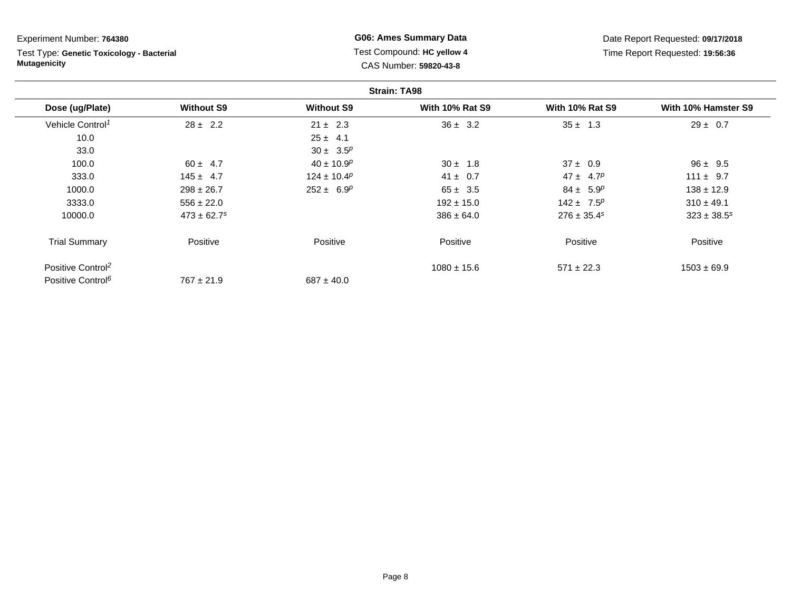Test Type: **Genetic Toxicology - Bacterial Mutagenicity**

**G06: Ames Summary Data** Test Compound: **HC yellow 4**CAS Number: **59820-43-8**

|                               |                             |                   | <b>Strain: TA98</b>    |                        |                     |
|-------------------------------|-----------------------------|-------------------|------------------------|------------------------|---------------------|
| Dose (ug/Plate)               | <b>Without S9</b>           | <b>Without S9</b> | <b>With 10% Rat S9</b> | <b>With 10% Rat S9</b> | With 10% Hamster S9 |
| Vehicle Control <sup>1</sup>  | $28 \pm 2.2$                | $21 \pm 2.3$      | $36 \pm 3.2$           | $35 \pm 1.3$           | $29 \pm 0.7$        |
| 10.0                          |                             | $25 \pm 4.1$      |                        |                        |                     |
| 33.0                          |                             | $30 \pm 3.5^p$    |                        |                        |                     |
| 100.0                         | $60 \pm 4.7$                | $40 \pm 10.9^p$   | $30 \pm 1.8$           | $37 \pm 0.9$           | $96 \pm 9.5$        |
| 333.0                         | $145 \pm 4.7$               | $124 \pm 10.4^p$  | $41 \pm 0.7$           | $47 \pm 4.7^p$         | $111 \pm 9.7$       |
| 1000.0                        | $298 \pm 26.7$              | $252 \pm 6.9^p$   | $65 \pm 3.5$           | $84 \pm 5.9^p$         | $138 \pm 12.9$      |
| 3333.0                        | $556 \pm 22.0$              |                   | $192 \pm 15.0$         | $142 \pm 7.5^p$        | $310 \pm 49.1$      |
| 10000.0                       | $473 \pm 62.7$ <sup>s</sup> |                   | $386 \pm 64.0$         | $276 \pm 35.4^s$       | $323 \pm 38.5^s$    |
| <b>Trial Summary</b>          | Positive                    | Positive          | Positive               | Positive               | Positive            |
| Positive Control <sup>2</sup> |                             |                   | $1080 \pm 15.6$        | $571 \pm 22.3$         | $1503 \pm 69.9$     |
| Positive Control <sup>6</sup> | $767 \pm 21.9$              | $687 \pm 40.0$    |                        |                        |                     |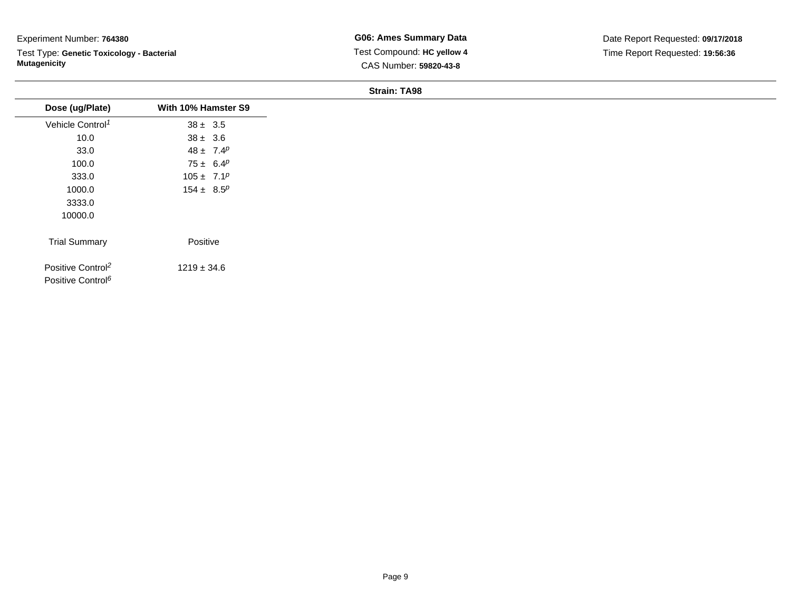Test Type: **Genetic Toxicology - Bacterial Mutagenicity**

**G06: Ames Summary Data** Test Compound: **HC yellow 4**CAS Number: **59820-43-8**

| Dose (ug/Plate)                                                | With 10% Hamster S9 |
|----------------------------------------------------------------|---------------------|
| Vehicle Control <sup>1</sup>                                   | $38 \pm 3.5$        |
| 10.0                                                           | $38 \pm 3.6$        |
| 33.0                                                           | $48 \pm 7.4^p$      |
| 100.0                                                          | $75 \pm 6.4^p$      |
| 333.0                                                          | $105 \pm 7.1^p$     |
| 1000.0                                                         | $154 \pm 8.5^p$     |
| 3333.0                                                         |                     |
| 10000.0                                                        |                     |
| <b>Trial Summary</b>                                           | Positive            |
| Positive Control <sup>2</sup><br>Positive Control <sup>6</sup> | $1219 \pm 34.6$     |